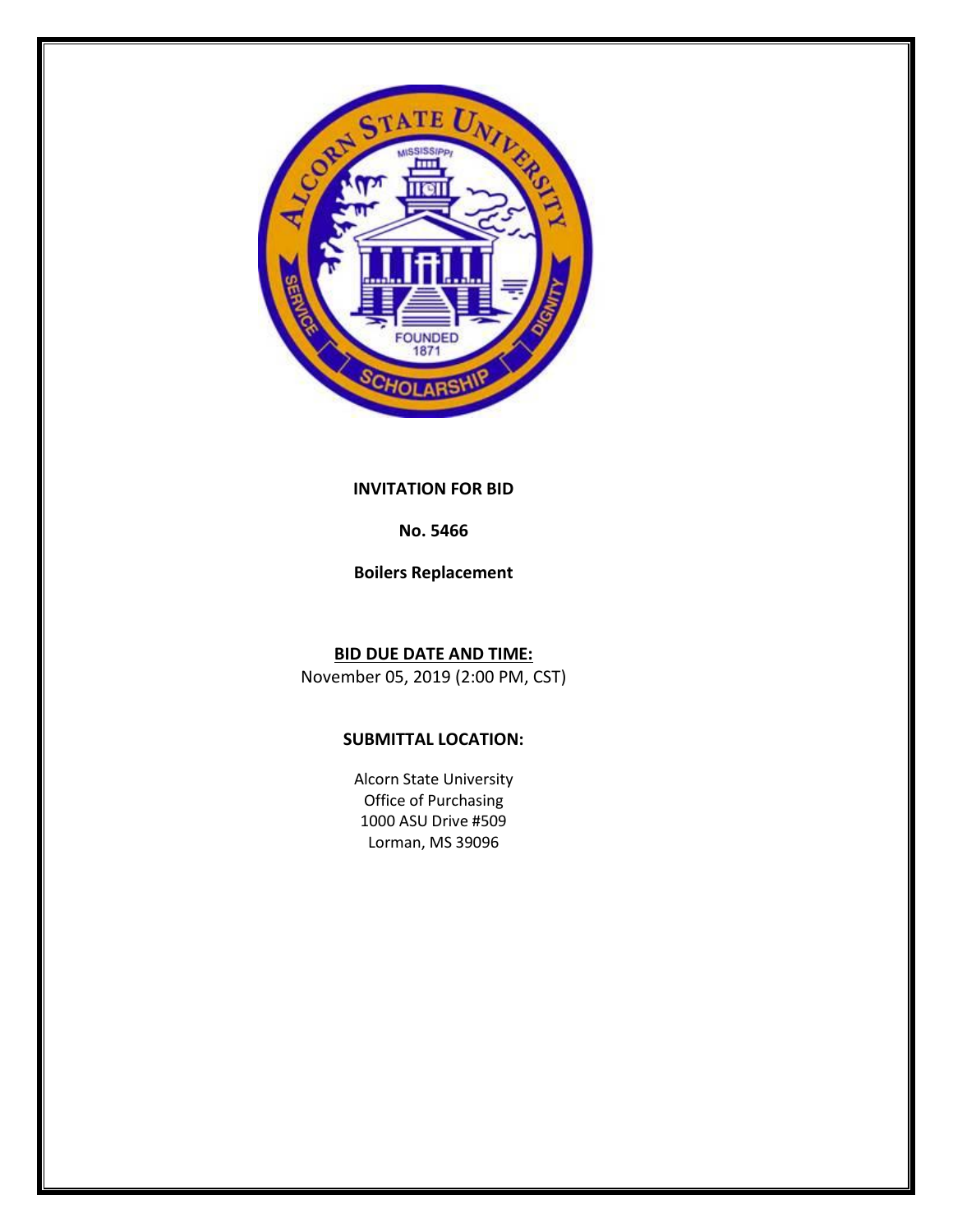

## **INVITATION FOR BID**

# **No. 5466**

**Boilers Replacement**

**BID DUE DATE AND TIME:** November 05, 2019 (2:00 PM, CST)

# **SUBMITTAL LOCATION:**

Alcorn State University Office of Purchasing 1000 ASU Drive #509 Lorman, MS 39096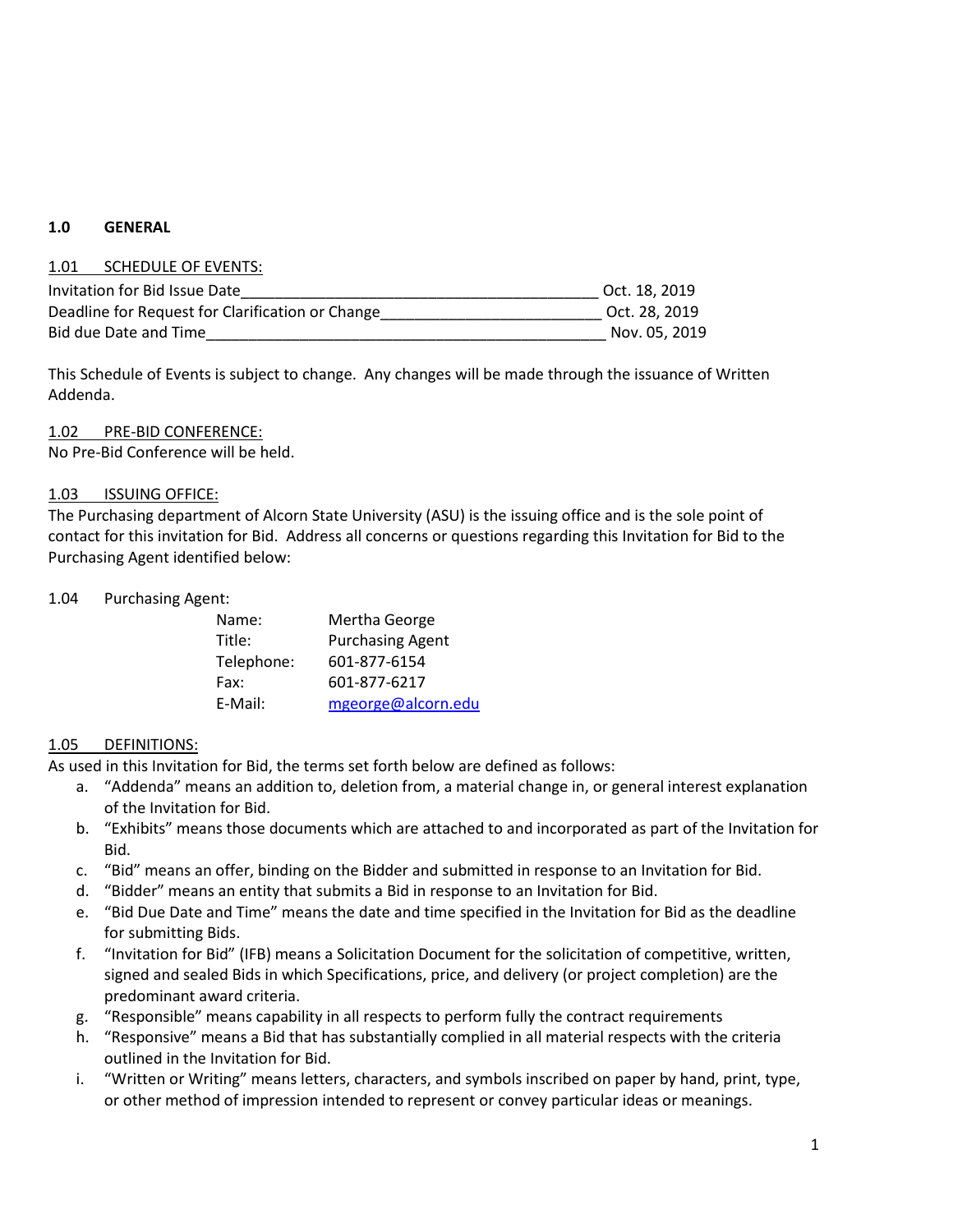### **1.0 GENERAL**

#### 1.01 SCHEDULE OF EVENTS:

| Invitation for Bid Issue Date                    | Oct. 18, 2019 |
|--------------------------------------------------|---------------|
| Deadline for Request for Clarification or Change | Oct. 28, 2019 |
| Bid due Date and Time                            | Nov. 05, 2019 |

This Schedule of Events is subject to change. Any changes will be made through the issuance of Written Addenda.

### 1.02 PRE-BID CONFERENCE:

No Pre-Bid Conference will be held.

#### 1.03 ISSUING OFFICE:

The Purchasing department of Alcorn State University (ASU) is the issuing office and is the sole point of contact for this invitation for Bid. Address all concerns or questions regarding this Invitation for Bid to the Purchasing Agent identified below:

1.04 Purchasing Agent:

| Name:      | Mertha George           |
|------------|-------------------------|
| Title:     | <b>Purchasing Agent</b> |
| Telephone: | 601-877-6154            |
| Fax:       | 601-877-6217            |
| E-Mail:    | mgeorge@alcorn.edu      |

### 1.05 DEFINITIONS:

As used in this Invitation for Bid, the terms set forth below are defined as follows:

- a. "Addenda" means an addition to, deletion from, a material change in, or general interest explanation of the Invitation for Bid.
- b. "Exhibits" means those documents which are attached to and incorporated as part of the Invitation for Bid.
- c. "Bid" means an offer, binding on the Bidder and submitted in response to an Invitation for Bid.
- d. "Bidder" means an entity that submits a Bid in response to an Invitation for Bid.
- e. "Bid Due Date and Time" means the date and time specified in the Invitation for Bid as the deadline for submitting Bids.
- f. "Invitation for Bid" (IFB) means a Solicitation Document for the solicitation of competitive, written, signed and sealed Bids in which Specifications, price, and delivery (or project completion) are the predominant award criteria.
- g. "Responsible" means capability in all respects to perform fully the contract requirements
- h. "Responsive" means a Bid that has substantially complied in all material respects with the criteria outlined in the Invitation for Bid.
- i. "Written or Writing" means letters, characters, and symbols inscribed on paper by hand, print, type, or other method of impression intended to represent or convey particular ideas or meanings.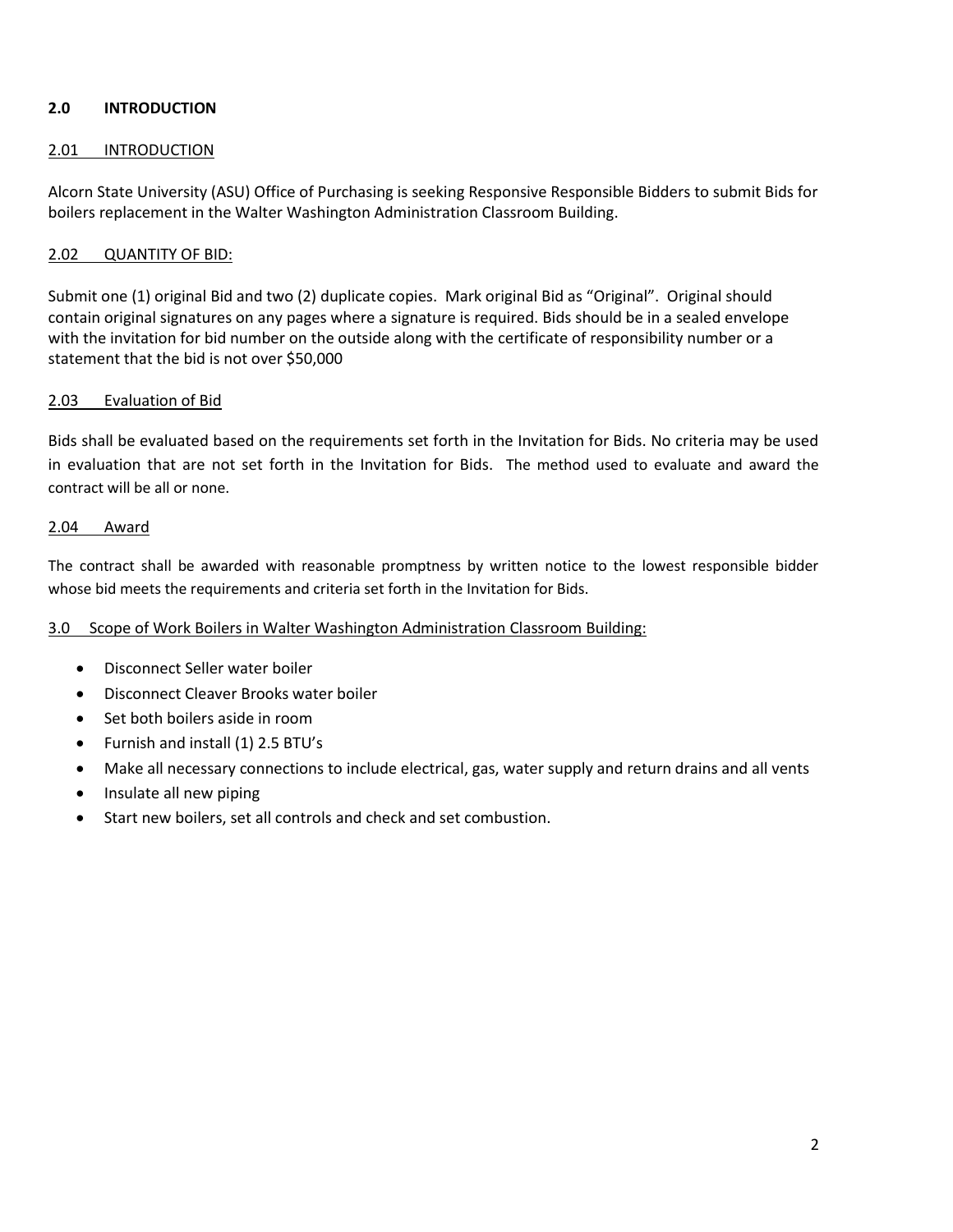## **2.0 INTRODUCTION**

### 2.01 INTRODUCTION

Alcorn State University (ASU) Office of Purchasing is seeking Responsive Responsible Bidders to submit Bids for boilers replacement in the Walter Washington Administration Classroom Building.

### 2.02 QUANTITY OF BID:

Submit one (1) original Bid and two (2) duplicate copies. Mark original Bid as "Original". Original should contain original signatures on any pages where a signature is required. Bids should be in a sealed envelope with the invitation for bid number on the outside along with the certificate of responsibility number or a statement that the bid is not over \$50,000

## 2.03 Evaluation of Bid

Bids shall be evaluated based on the requirements set forth in the Invitation for Bids. No criteria may be used in evaluation that are not set forth in the Invitation for Bids. The method used to evaluate and award the contract will be all or none.

#### 2.04 Award

The contract shall be awarded with reasonable promptness by written notice to the lowest responsible bidder whose bid meets the requirements and criteria set forth in the Invitation for Bids.

### 3.0 Scope of Work Boilers in Walter Washington Administration Classroom Building:

- Disconnect Seller water boiler
- Disconnect Cleaver Brooks water boiler
- Set both boilers aside in room
- Furnish and install (1) 2.5 BTU's
- Make all necessary connections to include electrical, gas, water supply and return drains and all vents
- Insulate all new piping
- Start new boilers, set all controls and check and set combustion.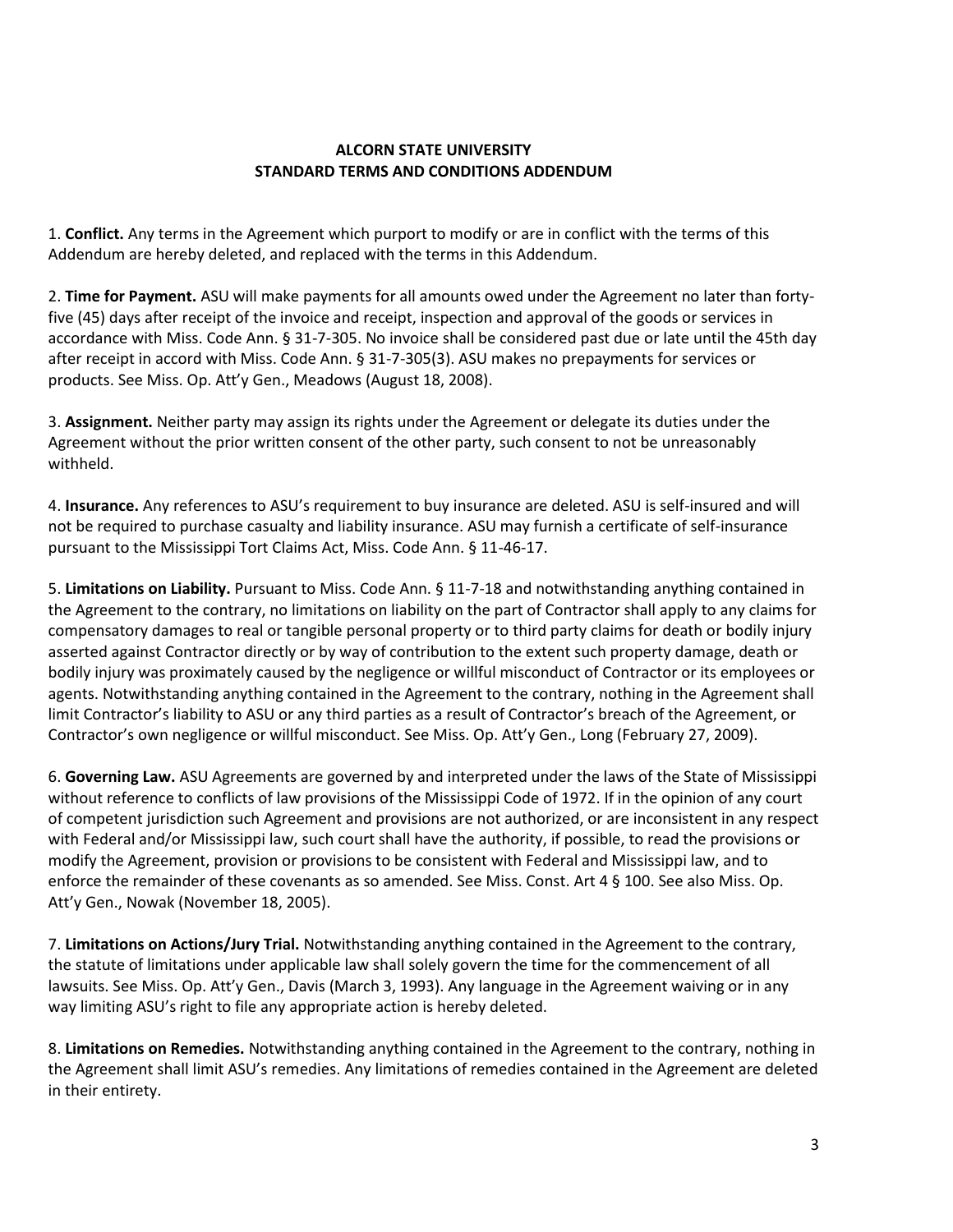## **ALCORN STATE UNIVERSITY STANDARD TERMS AND CONDITIONS ADDENDUM**

1. **Conflict.** Any terms in the Agreement which purport to modify or are in conflict with the terms of this Addendum are hereby deleted, and replaced with the terms in this Addendum.

2. **Time for Payment.** ASU will make payments for all amounts owed under the Agreement no later than fortyfive (45) days after receipt of the invoice and receipt, inspection and approval of the goods or services in accordance with Miss. Code Ann. § 31-7-305. No invoice shall be considered past due or late until the 45th day after receipt in accord with Miss. Code Ann. § 31-7-305(3). ASU makes no prepayments for services or products. See Miss. Op. Att'y Gen., Meadows (August 18, 2008).

3. **Assignment.** Neither party may assign its rights under the Agreement or delegate its duties under the Agreement without the prior written consent of the other party, such consent to not be unreasonably withheld.

4. **Insurance.** Any references to ASU's requirement to buy insurance are deleted. ASU is self-insured and will not be required to purchase casualty and liability insurance. ASU may furnish a certificate of self-insurance pursuant to the Mississippi Tort Claims Act, Miss. Code Ann. § 11-46-17.

5. **Limitations on Liability.** Pursuant to Miss. Code Ann. § 11-7-18 and notwithstanding anything contained in the Agreement to the contrary, no limitations on liability on the part of Contractor shall apply to any claims for compensatory damages to real or tangible personal property or to third party claims for death or bodily injury asserted against Contractor directly or by way of contribution to the extent such property damage, death or bodily injury was proximately caused by the negligence or willful misconduct of Contractor or its employees or agents. Notwithstanding anything contained in the Agreement to the contrary, nothing in the Agreement shall limit Contractor's liability to ASU or any third parties as a result of Contractor's breach of the Agreement, or Contractor's own negligence or willful misconduct. See Miss. Op. Att'y Gen., Long (February 27, 2009).

6. **Governing Law.** ASU Agreements are governed by and interpreted under the laws of the State of Mississippi without reference to conflicts of law provisions of the Mississippi Code of 1972. If in the opinion of any court of competent jurisdiction such Agreement and provisions are not authorized, or are inconsistent in any respect with Federal and/or Mississippi law, such court shall have the authority, if possible, to read the provisions or modify the Agreement, provision or provisions to be consistent with Federal and Mississippi law, and to enforce the remainder of these covenants as so amended. See Miss. Const. Art 4 § 100. See also Miss. Op. Att'y Gen., Nowak (November 18, 2005).

7. **Limitations on Actions/Jury Trial.** Notwithstanding anything contained in the Agreement to the contrary, the statute of limitations under applicable law shall solely govern the time for the commencement of all lawsuits. See Miss. Op. Att'y Gen., Davis (March 3, 1993). Any language in the Agreement waiving or in any way limiting ASU's right to file any appropriate action is hereby deleted.

8. **Limitations on Remedies.** Notwithstanding anything contained in the Agreement to the contrary, nothing in the Agreement shall limit ASU's remedies. Any limitations of remedies contained in the Agreement are deleted in their entirety.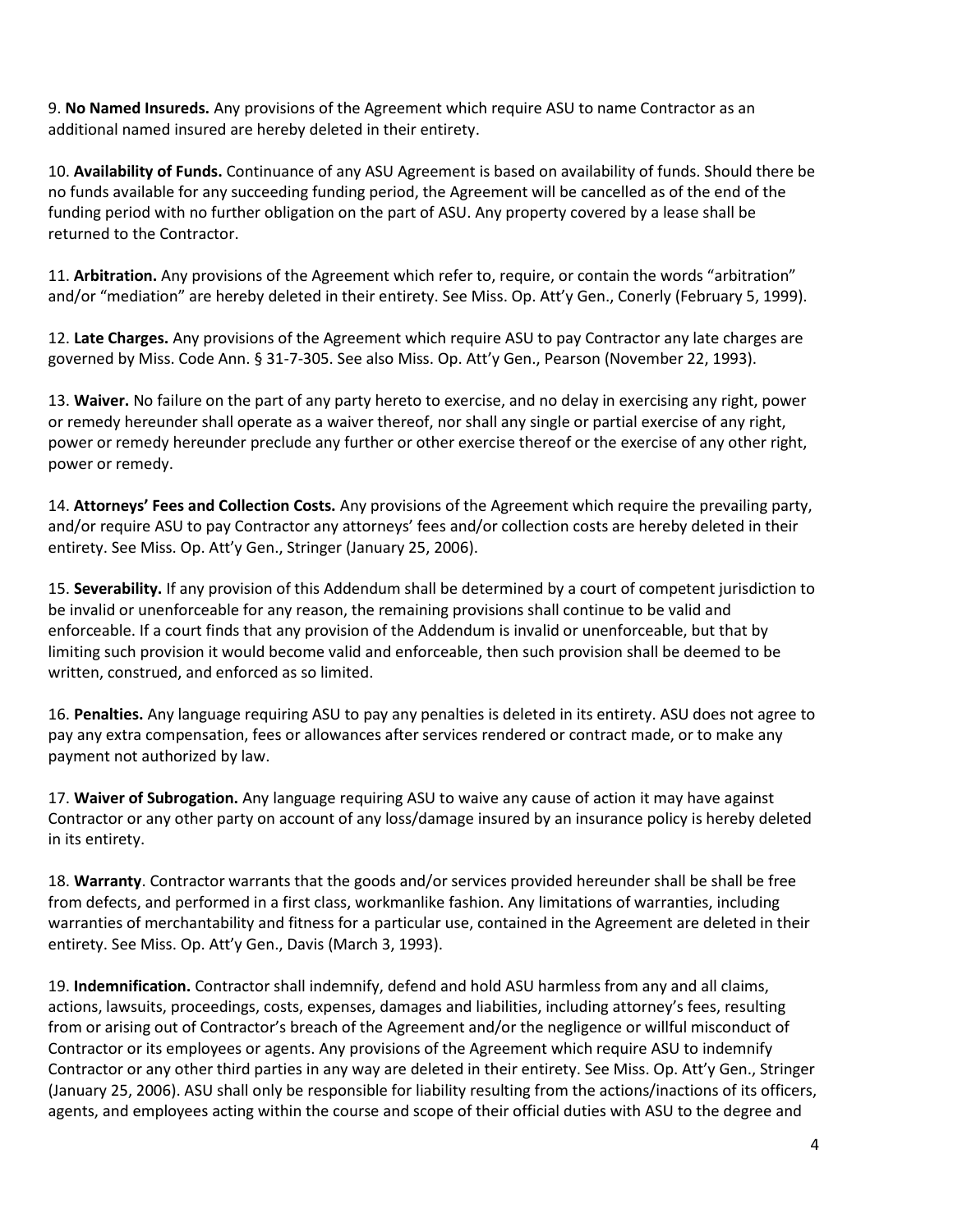9. **No Named Insureds.** Any provisions of the Agreement which require ASU to name Contractor as an additional named insured are hereby deleted in their entirety.

10. **Availability of Funds.** Continuance of any ASU Agreement is based on availability of funds. Should there be no funds available for any succeeding funding period, the Agreement will be cancelled as of the end of the funding period with no further obligation on the part of ASU. Any property covered by a lease shall be returned to the Contractor.

11. **Arbitration.** Any provisions of the Agreement which refer to, require, or contain the words "arbitration" and/or "mediation" are hereby deleted in their entirety. See Miss. Op. Att'y Gen., Conerly (February 5, 1999).

12. **Late Charges.** Any provisions of the Agreement which require ASU to pay Contractor any late charges are governed by Miss. Code Ann. § 31-7-305. See also Miss. Op. Att'y Gen., Pearson (November 22, 1993).

13. **Waiver.** No failure on the part of any party hereto to exercise, and no delay in exercising any right, power or remedy hereunder shall operate as a waiver thereof, nor shall any single or partial exercise of any right, power or remedy hereunder preclude any further or other exercise thereof or the exercise of any other right, power or remedy.

14. **Attorneys' Fees and Collection Costs.** Any provisions of the Agreement which require the prevailing party, and/or require ASU to pay Contractor any attorneys' fees and/or collection costs are hereby deleted in their entirety. See Miss. Op. Att'y Gen., Stringer (January 25, 2006).

15. **Severability.** If any provision of this Addendum shall be determined by a court of competent jurisdiction to be invalid or unenforceable for any reason, the remaining provisions shall continue to be valid and enforceable. If a court finds that any provision of the Addendum is invalid or unenforceable, but that by limiting such provision it would become valid and enforceable, then such provision shall be deemed to be written, construed, and enforced as so limited.

16. **Penalties.** Any language requiring ASU to pay any penalties is deleted in its entirety. ASU does not agree to pay any extra compensation, fees or allowances after services rendered or contract made, or to make any payment not authorized by law.

17. **Waiver of Subrogation.** Any language requiring ASU to waive any cause of action it may have against Contractor or any other party on account of any loss/damage insured by an insurance policy is hereby deleted in its entirety.

18. **Warranty**. Contractor warrants that the goods and/or services provided hereunder shall be shall be free from defects, and performed in a first class, workmanlike fashion. Any limitations of warranties, including warranties of merchantability and fitness for a particular use, contained in the Agreement are deleted in their entirety. See Miss. Op. Att'y Gen., Davis (March 3, 1993).

19. **Indemnification.** Contractor shall indemnify, defend and hold ASU harmless from any and all claims, actions, lawsuits, proceedings, costs, expenses, damages and liabilities, including attorney's fees, resulting from or arising out of Contractor's breach of the Agreement and/or the negligence or willful misconduct of Contractor or its employees or agents. Any provisions of the Agreement which require ASU to indemnify Contractor or any other third parties in any way are deleted in their entirety. See Miss. Op. Att'y Gen., Stringer (January 25, 2006). ASU shall only be responsible for liability resulting from the actions/inactions of its officers, agents, and employees acting within the course and scope of their official duties with ASU to the degree and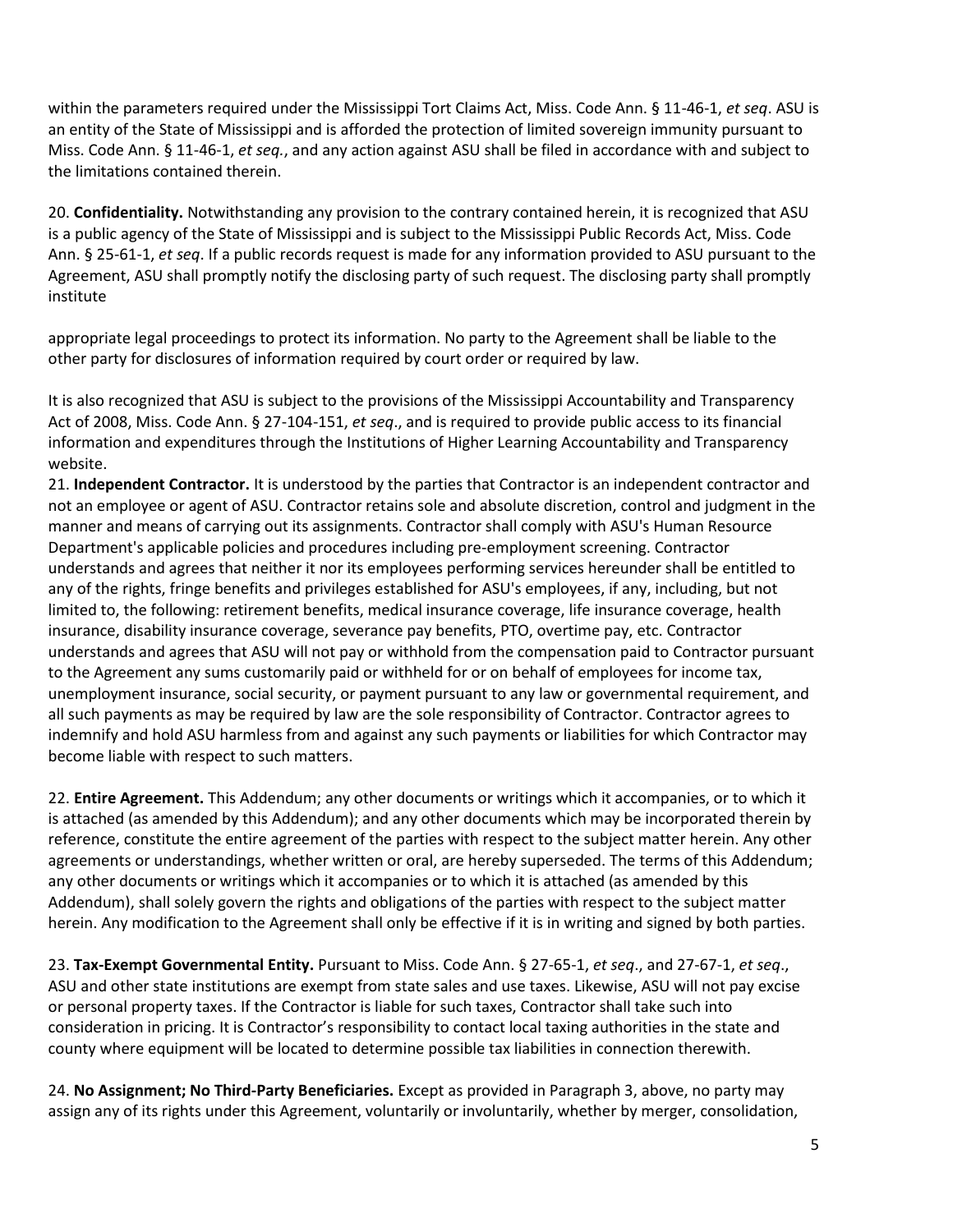within the parameters required under the Mississippi Tort Claims Act, Miss. Code Ann. § 11-46-1, *et seq*. ASU is an entity of the State of Mississippi and is afforded the protection of limited sovereign immunity pursuant to Miss. Code Ann. § 11-46-1, *et seq.*, and any action against ASU shall be filed in accordance with and subject to the limitations contained therein.

20. **Confidentiality.** Notwithstanding any provision to the contrary contained herein, it is recognized that ASU is a public agency of the State of Mississippi and is subject to the Mississippi Public Records Act, Miss. Code Ann. § 25-61-1, *et seq*. If a public records request is made for any information provided to ASU pursuant to the Agreement, ASU shall promptly notify the disclosing party of such request. The disclosing party shall promptly institute

appropriate legal proceedings to protect its information. No party to the Agreement shall be liable to the other party for disclosures of information required by court order or required by law.

It is also recognized that ASU is subject to the provisions of the Mississippi Accountability and Transparency Act of 2008, Miss. Code Ann. § 27-104-151, *et seq*., and is required to provide public access to its financial information and expenditures through the Institutions of Higher Learning Accountability and Transparency website.

21. **Independent Contractor.** It is understood by the parties that Contractor is an independent contractor and not an employee or agent of ASU. Contractor retains sole and absolute discretion, control and judgment in the manner and means of carrying out its assignments. Contractor shall comply with ASU's Human Resource Department's applicable policies and procedures including pre-employment screening. Contractor understands and agrees that neither it nor its employees performing services hereunder shall be entitled to any of the rights, fringe benefits and privileges established for ASU's employees, if any, including, but not limited to, the following: retirement benefits, medical insurance coverage, life insurance coverage, health insurance, disability insurance coverage, severance pay benefits, PTO, overtime pay, etc. Contractor understands and agrees that ASU will not pay or withhold from the compensation paid to Contractor pursuant to the Agreement any sums customarily paid or withheld for or on behalf of employees for income tax, unemployment insurance, social security, or payment pursuant to any law or governmental requirement, and all such payments as may be required by law are the sole responsibility of Contractor. Contractor agrees to indemnify and hold ASU harmless from and against any such payments or liabilities for which Contractor may become liable with respect to such matters.

22. **Entire Agreement.** This Addendum; any other documents or writings which it accompanies, or to which it is attached (as amended by this Addendum); and any other documents which may be incorporated therein by reference, constitute the entire agreement of the parties with respect to the subject matter herein. Any other agreements or understandings, whether written or oral, are hereby superseded. The terms of this Addendum; any other documents or writings which it accompanies or to which it is attached (as amended by this Addendum), shall solely govern the rights and obligations of the parties with respect to the subject matter herein. Any modification to the Agreement shall only be effective if it is in writing and signed by both parties.

23. **Tax-Exempt Governmental Entity.** Pursuant to Miss. Code Ann. § 27-65-1, *et seq*., and 27-67-1, *et seq*., ASU and other state institutions are exempt from state sales and use taxes. Likewise, ASU will not pay excise or personal property taxes. If the Contractor is liable for such taxes, Contractor shall take such into consideration in pricing. It is Contractor's responsibility to contact local taxing authorities in the state and county where equipment will be located to determine possible tax liabilities in connection therewith.

24. **No Assignment; No Third-Party Beneficiaries.** Except as provided in Paragraph 3, above, no party may assign any of its rights under this Agreement, voluntarily or involuntarily, whether by merger, consolidation,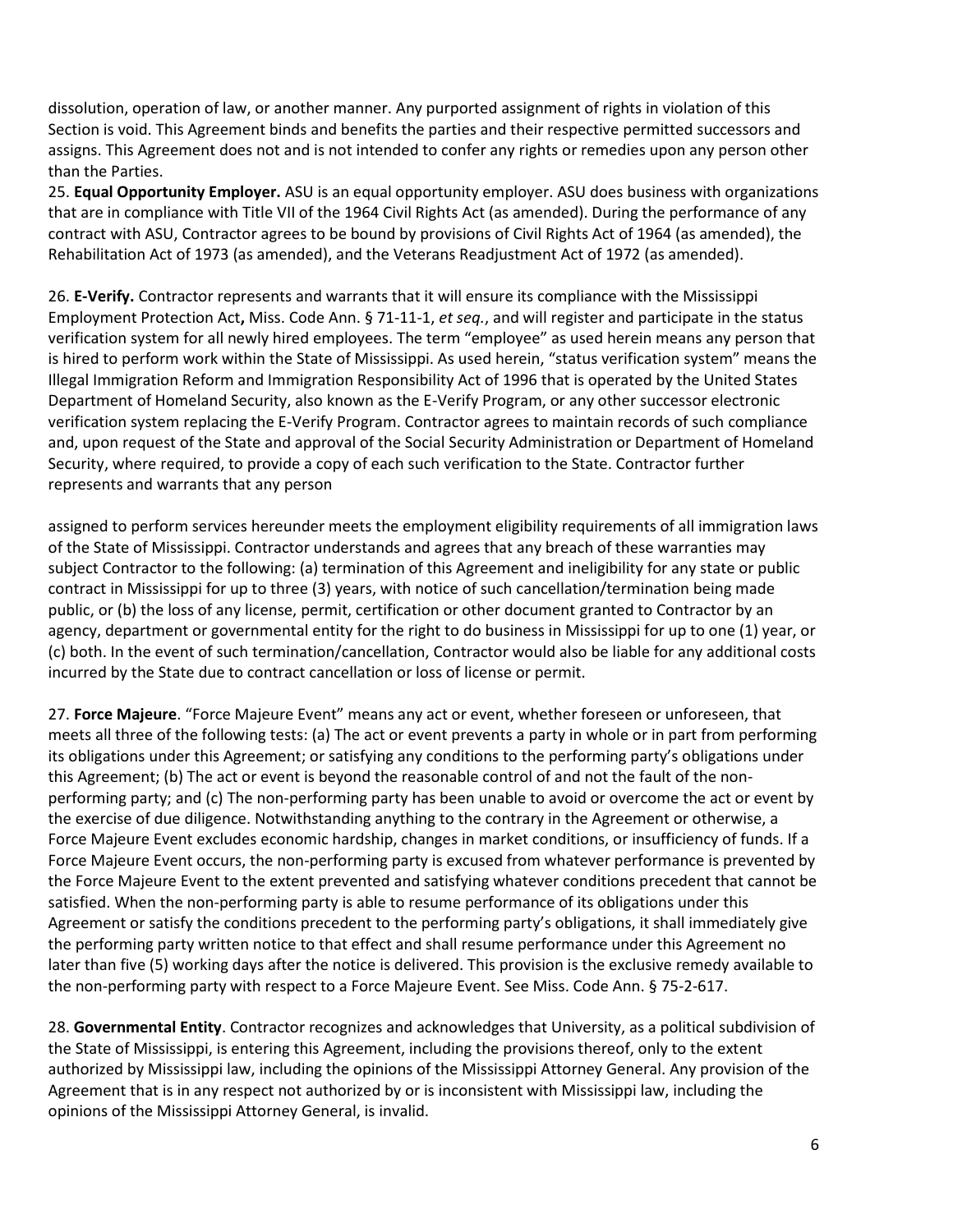dissolution, operation of law, or another manner. Any purported assignment of rights in violation of this Section is void. This Agreement binds and benefits the parties and their respective permitted successors and assigns. This Agreement does not and is not intended to confer any rights or remedies upon any person other than the Parties.

25. **Equal Opportunity Employer.** ASU is an equal opportunity employer. ASU does business with organizations that are in compliance with Title VII of the 1964 Civil Rights Act (as amended). During the performance of any contract with ASU, Contractor agrees to be bound by provisions of Civil Rights Act of 1964 (as amended), the Rehabilitation Act of 1973 (as amended), and the Veterans Readjustment Act of 1972 (as amended).

26. **E-Verify.** Contractor represents and warrants that it will ensure its compliance with the Mississippi Employment Protection Act**,** Miss. Code Ann. § 71-11-1, *et seq.*, and will register and participate in the status verification system for all newly hired employees. The term "employee" as used herein means any person that is hired to perform work within the State of Mississippi. As used herein, "status verification system" means the Illegal Immigration Reform and Immigration Responsibility Act of 1996 that is operated by the United States Department of Homeland Security, also known as the E-Verify Program, or any other successor electronic verification system replacing the E-Verify Program. Contractor agrees to maintain records of such compliance and, upon request of the State and approval of the Social Security Administration or Department of Homeland Security, where required, to provide a copy of each such verification to the State. Contractor further represents and warrants that any person

assigned to perform services hereunder meets the employment eligibility requirements of all immigration laws of the State of Mississippi. Contractor understands and agrees that any breach of these warranties may subject Contractor to the following: (a) termination of this Agreement and ineligibility for any state or public contract in Mississippi for up to three (3) years, with notice of such cancellation/termination being made public, or (b) the loss of any license, permit, certification or other document granted to Contractor by an agency, department or governmental entity for the right to do business in Mississippi for up to one (1) year, or (c) both. In the event of such termination/cancellation, Contractor would also be liable for any additional costs incurred by the State due to contract cancellation or loss of license or permit.

27. **Force Majeure**. "Force Majeure Event" means any act or event, whether foreseen or unforeseen, that meets all three of the following tests: (a) The act or event prevents a party in whole or in part from performing its obligations under this Agreement; or satisfying any conditions to the performing party's obligations under this Agreement; (b) The act or event is beyond the reasonable control of and not the fault of the nonperforming party; and (c) The non-performing party has been unable to avoid or overcome the act or event by the exercise of due diligence. Notwithstanding anything to the contrary in the Agreement or otherwise, a Force Majeure Event excludes economic hardship, changes in market conditions, or insufficiency of funds. If a Force Majeure Event occurs, the non-performing party is excused from whatever performance is prevented by the Force Majeure Event to the extent prevented and satisfying whatever conditions precedent that cannot be satisfied. When the non-performing party is able to resume performance of its obligations under this Agreement or satisfy the conditions precedent to the performing party's obligations, it shall immediately give the performing party written notice to that effect and shall resume performance under this Agreement no later than five (5) working days after the notice is delivered. This provision is the exclusive remedy available to the non-performing party with respect to a Force Majeure Event. See Miss. Code Ann. § 75-2-617.

28. **Governmental Entity**. Contractor recognizes and acknowledges that University, as a political subdivision of the State of Mississippi, is entering this Agreement, including the provisions thereof, only to the extent authorized by Mississippi law, including the opinions of the Mississippi Attorney General. Any provision of the Agreement that is in any respect not authorized by or is inconsistent with Mississippi law, including the opinions of the Mississippi Attorney General, is invalid.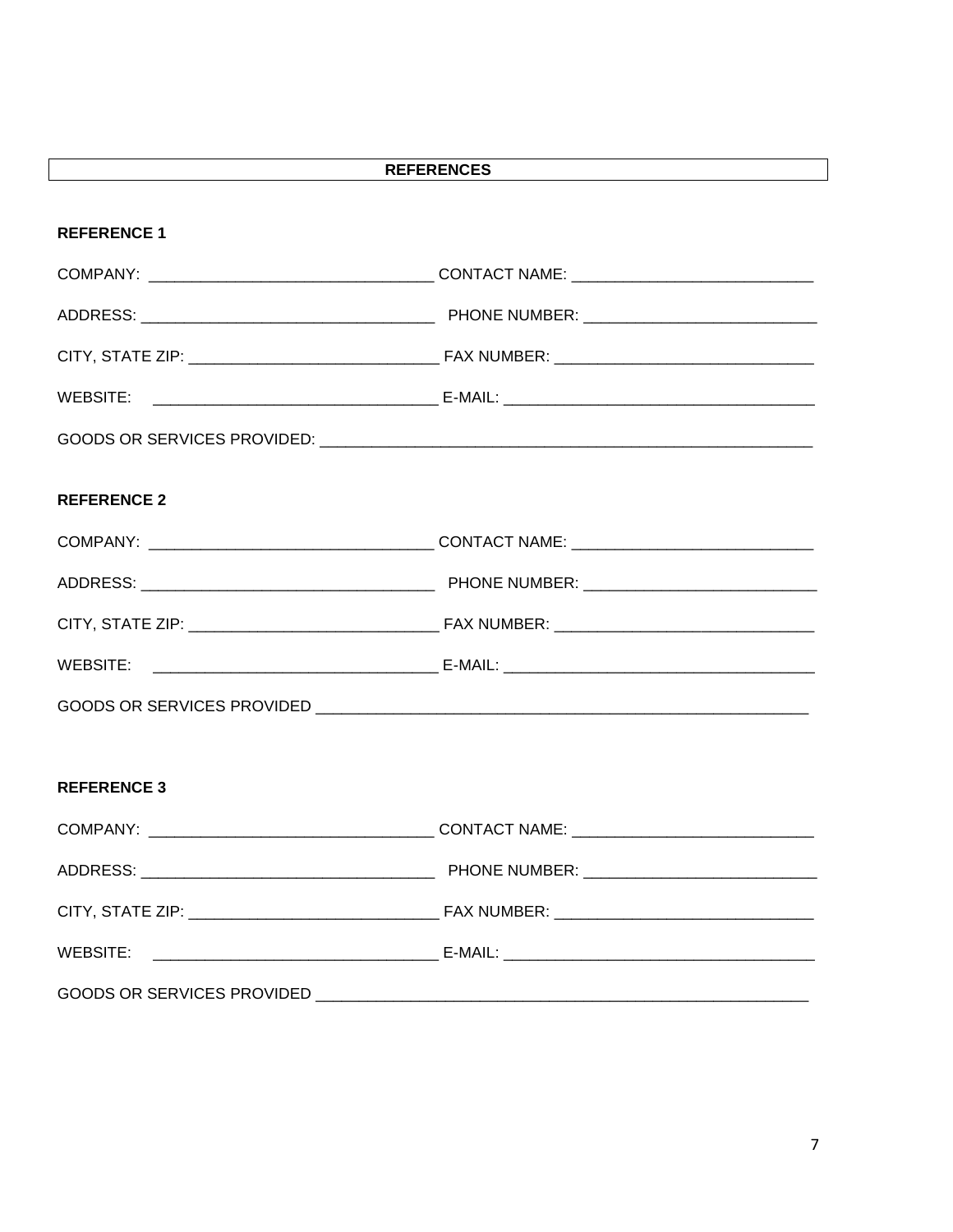| <b>REFERENCES</b>  |  |  |  |  |
|--------------------|--|--|--|--|
| <b>REFERENCE 1</b> |  |  |  |  |
|                    |  |  |  |  |
|                    |  |  |  |  |
|                    |  |  |  |  |
|                    |  |  |  |  |
|                    |  |  |  |  |
|                    |  |  |  |  |
| <b>REFERENCE 2</b> |  |  |  |  |
|                    |  |  |  |  |
|                    |  |  |  |  |
|                    |  |  |  |  |
|                    |  |  |  |  |
|                    |  |  |  |  |
|                    |  |  |  |  |
|                    |  |  |  |  |
| <b>REFERENCE 3</b> |  |  |  |  |
|                    |  |  |  |  |
|                    |  |  |  |  |
|                    |  |  |  |  |
| <b>WEBSITE:</b>    |  |  |  |  |
|                    |  |  |  |  |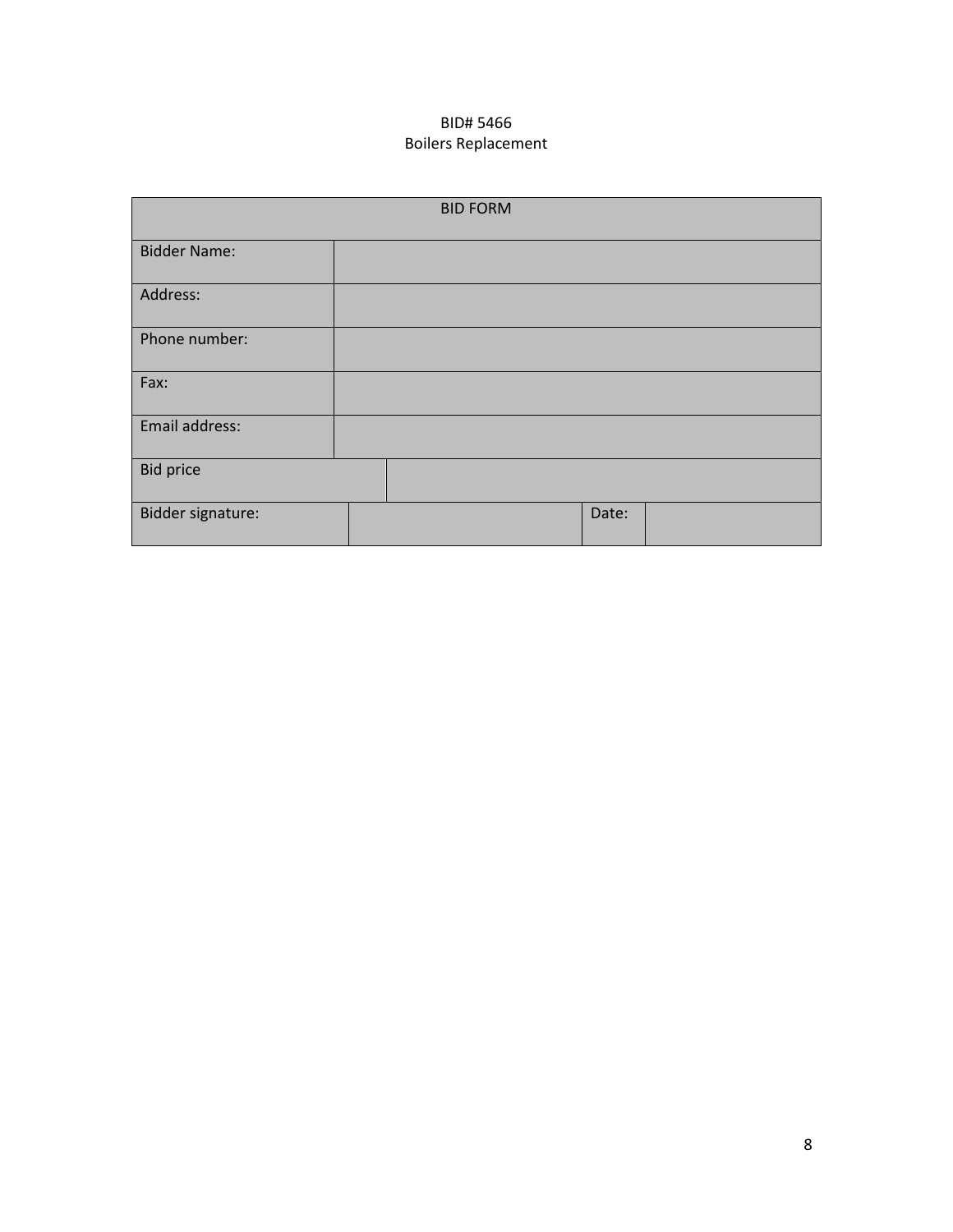# BID# 5466 Boilers Replacement

| <b>BID FORM</b>     |  |       |  |  |
|---------------------|--|-------|--|--|
| <b>Bidder Name:</b> |  |       |  |  |
| Address:            |  |       |  |  |
| Phone number:       |  |       |  |  |
| Fax:                |  |       |  |  |
| Email address:      |  |       |  |  |
| <b>Bid price</b>    |  |       |  |  |
| Bidder signature:   |  | Date: |  |  |